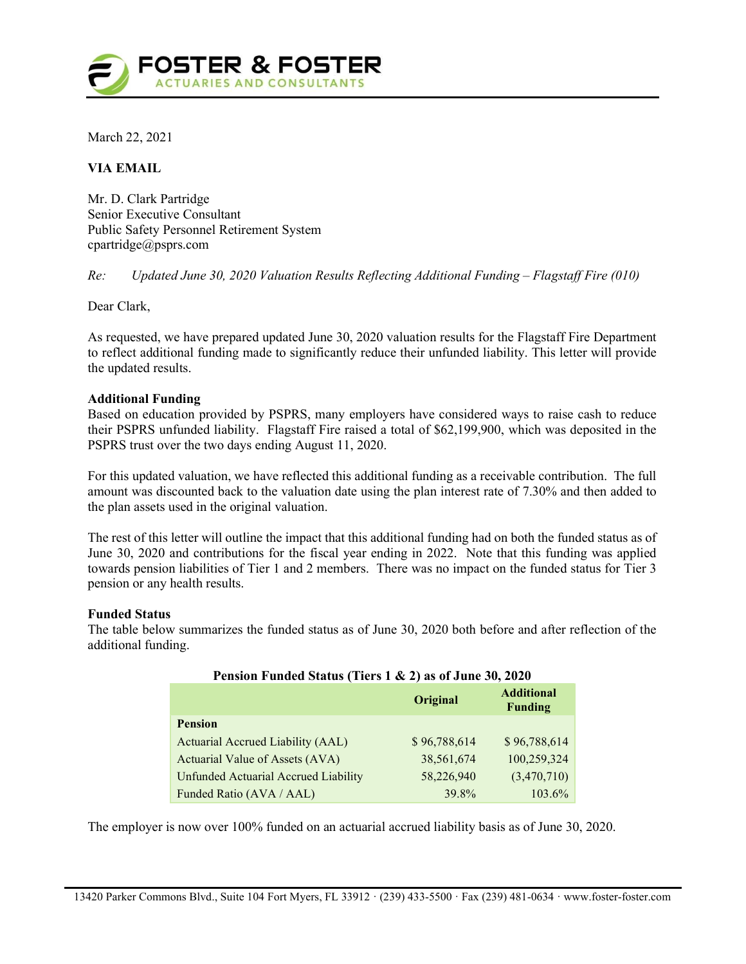

March 22, 2021

# VIA EMAIL

Mr. D. Clark Partridge Senior Executive Consultant Public Safety Personnel Retirement System cpartridge@psprs.com

Re: Updated June 30, 2020 Valuation Results Reflecting Additional Funding – Flagstaff Fire (010)

Dear Clark,

As requested, we have prepared updated June 30, 2020 valuation results for the Flagstaff Fire Department to reflect additional funding made to significantly reduce their unfunded liability. This letter will provide the updated results.

### Additional Funding

Based on education provided by PSPRS, many employers have considered ways to raise cash to reduce their PSPRS unfunded liability. Flagstaff Fire raised a total of \$62,199,900, which was deposited in the PSPRS trust over the two days ending August 11, 2020.

For this updated valuation, we have reflected this additional funding as a receivable contribution. The full amount was discounted back to the valuation date using the plan interest rate of 7.30% and then added to the plan assets used in the original valuation.

The rest of this letter will outline the impact that this additional funding had on both the funded status as of June 30, 2020 and contributions for the fiscal year ending in 2022. Note that this funding was applied towards pension liabilities of Tier 1 and 2 members. There was no impact on the funded status for Tier 3 pension or any health results.

### Funded Status

The table below summarizes the funded status as of June 30, 2020 both before and after reflection of the additional funding.

| I charged I will not be converse to the set of $\frac{1}{2}$ and $\frac{1}{2}$ and $\frac{1}{2}$ and $\frac{1}{2}$ and $\frac{1}{2}$ and $\frac{1}{2}$ and $\frac{1}{2}$ and $\frac{1}{2}$ and $\frac{1}{2}$ and $\frac{1}{2}$ and $\frac{1}{2}$ and $\frac{1}{2}$ and $\frac{1}{$ |              |                                     |  |
|------------------------------------------------------------------------------------------------------------------------------------------------------------------------------------------------------------------------------------------------------------------------------------|--------------|-------------------------------------|--|
|                                                                                                                                                                                                                                                                                    | Original     | <b>Additional</b><br><b>Funding</b> |  |
| <b>Pension</b>                                                                                                                                                                                                                                                                     |              |                                     |  |
| Actuarial Accrued Liability (AAL)                                                                                                                                                                                                                                                  | \$96,788,614 | \$96,788,614                        |  |
| Actuarial Value of Assets (AVA)                                                                                                                                                                                                                                                    | 38,561,674   | 100,259,324                         |  |
| <b>Unfunded Actuarial Accrued Liability</b>                                                                                                                                                                                                                                        | 58,226,940   | (3,470,710)                         |  |
| Funded Ratio (AVA / AAL)                                                                                                                                                                                                                                                           | 39.8%        | 103.6%                              |  |

## Pension Funded Status (Tiers 1 & 2) as of June 30, 2020

The employer is now over 100% funded on an actuarial accrued liability basis as of June 30, 2020.